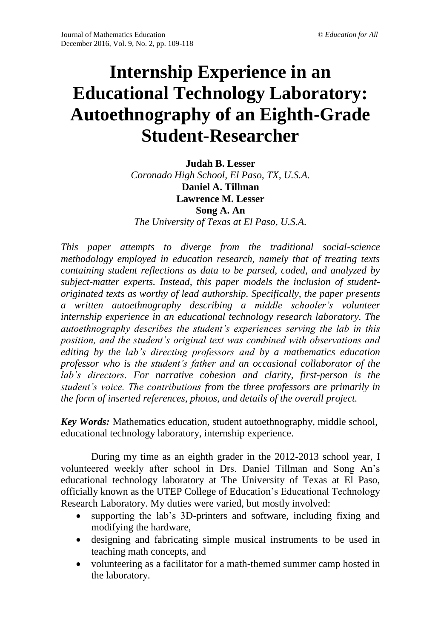# **Internship Experience in an Educational Technology Laboratory: Autoethnography of an Eighth-Grade Student-Researcher**

**Judah B. Lesser** *Coronado High School, El Paso, TX, U.S.A.* **Daniel A. Tillman Lawrence M. Lesser Song A. An** *The University of Texas at El Paso, U.S.A.*

*This paper attempts to diverge from the traditional social-science methodology employed in education research, namely that of treating texts containing student reflections as data to be parsed, coded, and analyzed by subject-matter experts. Instead, this paper models the inclusion of studentoriginated texts as worthy of lead authorship. Specifically, the paper presents a written autoethnography describing a middle schooler's volunteer internship experience in an educational technology research laboratory. The autoethnography describes the student's experiences serving the lab in this position, and the student's original text was combined with observations and editing by the lab's directing professors and by a mathematics education professor who is the student's father and an occasional collaborator of the lab's directors. For narrative cohesion and clarity, first-person is the student's voice. The contributions from the three professors are primarily in the form of inserted references, photos, and details of the overall project.* 

*Key Words:* Mathematics education, student autoethnography, middle school, educational technology laboratory, internship experience.

During my time as an eighth grader in the 2012-2013 school year, I volunteered weekly after school in Drs. Daniel Tillman and Song An's educational technology laboratory at The University of Texas at El Paso, officially known as the UTEP College of Education's Educational Technology Research Laboratory. My duties were varied, but mostly involved:

- supporting the lab's 3D-printers and software, including fixing and modifying the hardware,
- designing and fabricating simple musical instruments to be used in teaching math concepts, and
- volunteering as a facilitator for a math-themed summer camp hosted in the laboratory.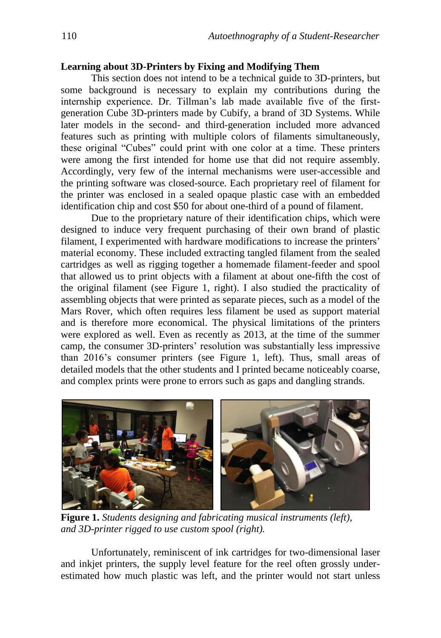#### **Learning about 3D-Printers by Fixing and Modifying Them**

This section does not intend to be a technical guide to 3D-printers, but some background is necessary to explain my contributions during the internship experience. Dr. Tillman's lab made available five of the firstgeneration Cube 3D-printers made by Cubify, a brand of 3D Systems. While later models in the second- and third-generation included more advanced features such as printing with multiple colors of filaments simultaneously, these original "Cubes" could print with one color at a time. These printers were among the first intended for home use that did not require assembly. Accordingly, very few of the internal mechanisms were user-accessible and the printing software was closed-source. Each proprietary reel of filament for the printer was enclosed in a sealed opaque plastic case with an embedded identification chip and cost \$50 for about one-third of a pound of filament.

Due to the proprietary nature of their identification chips, which were designed to induce very frequent purchasing of their own brand of plastic filament, I experimented with hardware modifications to increase the printers' material economy. These included extracting tangled filament from the sealed cartridges as well as rigging together a homemade filament-feeder and spool that allowed us to print objects with a filament at about one-fifth the cost of the original filament (see Figure 1, right). I also studied the practicality of assembling objects that were printed as separate pieces, such as a model of the Mars Rover, which often requires less filament be used as support material and is therefore more economical. The physical limitations of the printers were explored as well. Even as recently as 2013, at the time of the summer camp, the consumer 3D-printers' resolution was substantially less impressive than 2016's consumer printers (see Figure 1, left). Thus, small areas of detailed models that the other students and I printed became noticeably coarse, and complex prints were prone to errors such as gaps and dangling strands.



**Figure 1.** *Students designing and fabricating musical instruments (left), and 3D-printer rigged to use custom spool (right).*

Unfortunately, reminiscent of ink cartridges for two-dimensional laser and inkjet printers, the supply level feature for the reel often grossly underestimated how much plastic was left, and the printer would not start unless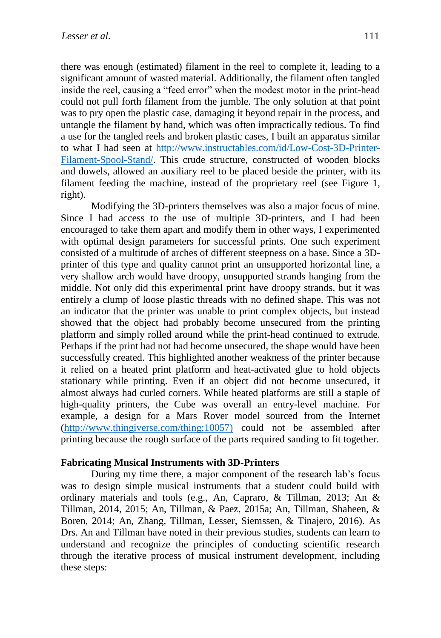there was enough (estimated) filament in the reel to complete it, leading to a significant amount of wasted material. Additionally, the filament often tangled inside the reel, causing a "feed error" when the modest motor in the print-head could not pull forth filament from the jumble. The only solution at that point was to pry open the plastic case, damaging it beyond repair in the process, and untangle the filament by hand, which was often impractically tedious. To find a use for the tangled reels and broken plastic cases, I built an apparatus similar to what I had seen at [http://www.instructables.com/id/Low-Cost-3D-Printer-](http://www.instructables.com/id/Low-Cost-3D-Printer-Filament-Spool-Stand/)[Filament-Spool-Stand/.](http://www.instructables.com/id/Low-Cost-3D-Printer-Filament-Spool-Stand/) This crude structure, constructed of wooden blocks and dowels, allowed an auxiliary reel to be placed beside the printer, with its filament feeding the machine, instead of the proprietary reel (see Figure 1, right).

Modifying the 3D-printers themselves was also a major focus of mine. Since I had access to the use of multiple 3D-printers, and I had been encouraged to take them apart and modify them in other ways, I experimented with optimal design parameters for successful prints. One such experiment consisted of a multitude of arches of different steepness on a base. Since a 3Dprinter of this type and quality cannot print an unsupported horizontal line, a very shallow arch would have droopy, unsupported strands hanging from the middle. Not only did this experimental print have droopy strands, but it was entirely a clump of loose plastic threads with no defined shape. This was not an indicator that the printer was unable to print complex objects, but instead showed that the object had probably become unsecured from the printing platform and simply rolled around while the print-head continued to extrude. Perhaps if the print had not had become unsecured, the shape would have been successfully created. This highlighted another weakness of the printer because it relied on a heated print platform and heat-activated glue to hold objects stationary while printing. Even if an object did not become unsecured, it almost always had curled corners. While heated platforms are still a staple of high-quality printers, the Cube was overall an entry-level machine. For example, a design for a Mars Rover model sourced from the Internet [\(http://www.thingiverse.com/thing:10057\)](http://www.thingiverse.com/thing:10057)) could not be assembled after printing because the rough surface of the parts required sanding to fit together.

#### **Fabricating Musical Instruments with 3D-Printers**

During my time there, a major component of the research lab's focus was to design simple musical instruments that a student could build with ordinary materials and tools (e.g., An, Capraro, & Tillman, 2013; An & Tillman, 2014, 2015; An, Tillman, & Paez, 2015a; An, Tillman, Shaheen, & Boren, 2014; An, Zhang, Tillman, Lesser, Siemssen, & Tinajero, 2016). As Drs. An and Tillman have noted in their previous studies, students can learn to understand and recognize the principles of conducting scientific research through the iterative process of musical instrument development, including these steps: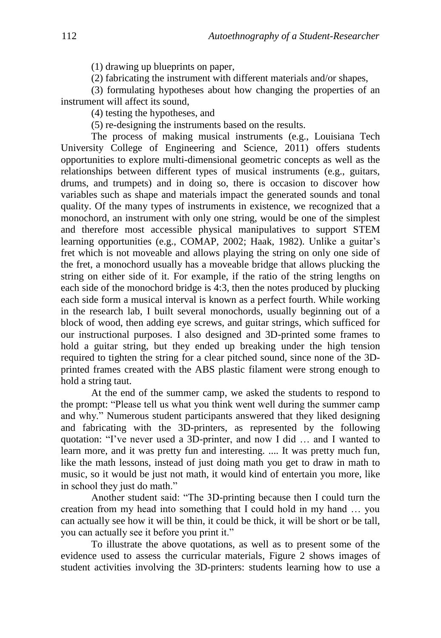(1) drawing up blueprints on paper,

(2) fabricating the instrument with different materials and/or shapes,

(3) formulating hypotheses about how changing the properties of an instrument will affect its sound,

(4) testing the hypotheses, and

(5) re-designing the instruments based on the results.

The process of making musical instruments (e.g., Louisiana Tech University College of Engineering and Science, 2011) offers students opportunities to explore multi-dimensional geometric concepts as well as the relationships between different types of musical instruments (e.g., guitars, drums, and trumpets) and in doing so, there is occasion to discover how variables such as shape and materials impact the generated sounds and tonal quality. Of the many types of instruments in existence, we recognized that a monochord, an instrument with only one string, would be one of the simplest and therefore most accessible physical manipulatives to support STEM learning opportunities (e.g., COMAP, 2002; Haak, 1982). Unlike a guitar's fret which is not moveable and allows playing the string on only one side of the fret, a monochord usually has a moveable bridge that allows plucking the string on either side of it. For example, if the ratio of the string lengths on each side of the monochord bridge is 4:3, then the notes produced by plucking each side form a musical interval is known as a perfect fourth. While working in the research lab, I built several monochords, usually beginning out of a block of wood, then adding eye screws, and guitar strings, which sufficed for our instructional purposes. I also designed and 3D-printed some frames to hold a guitar string, but they ended up breaking under the high tension required to tighten the string for a clear pitched sound, since none of the 3Dprinted frames created with the ABS plastic filament were strong enough to hold a string taut.

At the end of the summer camp, we asked the students to respond to the prompt: "Please tell us what you think went well during the summer camp and why." Numerous student participants answered that they liked designing and fabricating with the 3D-printers, as represented by the following quotation: "I've never used a 3D-printer, and now I did … and I wanted to learn more, and it was pretty fun and interesting. .... It was pretty much fun, like the math lessons, instead of just doing math you get to draw in math to music, so it would be just not math, it would kind of entertain you more, like in school they just do math."

Another student said: "The 3D-printing because then I could turn the creation from my head into something that I could hold in my hand … you can actually see how it will be thin, it could be thick, it will be short or be tall, you can actually see it before you print it."

To illustrate the above quotations, as well as to present some of the evidence used to assess the curricular materials, Figure 2 shows images of student activities involving the 3D-printers: students learning how to use a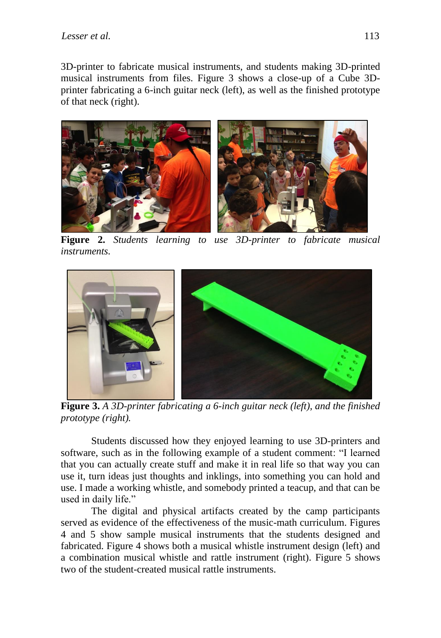3D-printer to fabricate musical instruments, and students making 3D-printed musical instruments from files. Figure 3 shows a close-up of a Cube 3Dprinter fabricating a 6-inch guitar neck (left), as well as the finished prototype of that neck (right).



**Figure 2.** *Students learning to use 3D-printer to fabricate musical instruments.*



**Figure 3.** *A 3D-printer fabricating a 6-inch guitar neck (left), and the finished prototype (right).*

Students discussed how they enjoyed learning to use 3D-printers and software, such as in the following example of a student comment: "I learned that you can actually create stuff and make it in real life so that way you can use it, turn ideas just thoughts and inklings, into something you can hold and use. I made a working whistle, and somebody printed a teacup, and that can be used in daily life."

The digital and physical artifacts created by the camp participants served as evidence of the effectiveness of the music-math curriculum. Figures 4 and 5 show sample musical instruments that the students designed and fabricated. Figure 4 shows both a musical whistle instrument design (left) and a combination musical whistle and rattle instrument (right). Figure 5 shows two of the student-created musical rattle instruments.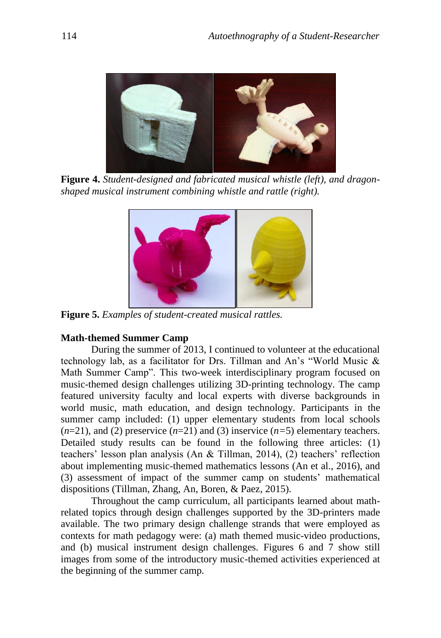

**Figure 4.** *Student-designed and fabricated musical whistle (left), and dragonshaped musical instrument combining whistle and rattle (right).*



**Figure 5.** *Examples of student-created musical rattles.*

## **Math-themed Summer Camp**

During the summer of 2013, I continued to volunteer at the educational technology lab, as a facilitator for Drs. Tillman and An's "World Music & Math Summer Camp". This two-week interdisciplinary program focused on music-themed design challenges utilizing 3D-printing technology. The camp featured university faculty and local experts with diverse backgrounds in world music, math education, and design technology. Participants in the summer camp included: (1) upper elementary students from local schools  $(n=21)$ , and (2) preservice  $(n=21)$  and (3) inservice  $(n=5)$  elementary teachers. Detailed study results can be found in the following three articles: (1) teachers' lesson plan analysis (An & Tillman, 2014), (2) teachers' reflection about implementing music-themed mathematics lessons (An et al., 2016), and (3) assessment of impact of the summer camp on students' mathematical dispositions (Tillman, Zhang, An, Boren, & Paez, 2015).

Throughout the camp curriculum, all participants learned about mathrelated topics through design challenges supported by the 3D-printers made available. The two primary design challenge strands that were employed as contexts for math pedagogy were: (a) math themed music-video productions, and (b) musical instrument design challenges. Figures 6 and 7 show still images from some of the introductory music-themed activities experienced at the beginning of the summer camp.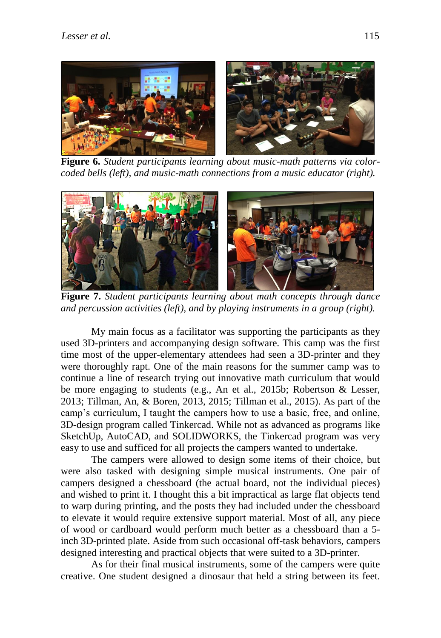

**Figure 6.** *Student participants learning about music-math patterns via colorcoded bells (left), and music-math connections from a music educator (right).*



**Figure 7.** *Student participants learning about math concepts through dance and percussion activities (left), and by playing instruments in a group (right).*

My main focus as a facilitator was supporting the participants as they used 3D-printers and accompanying design software. This camp was the first time most of the upper-elementary attendees had seen a 3D-printer and they were thoroughly rapt. One of the main reasons for the summer camp was to continue a line of research trying out innovative math curriculum that would be more engaging to students (e.g., An et al., 2015b; Robertson & Lesser, 2013; Tillman, An, & Boren, 2013, 2015; Tillman et al., 2015). As part of the camp's curriculum, I taught the campers how to use a basic, free, and online, 3D-design program called Tinkercad. While not as advanced as programs like SketchUp, AutoCAD, and SOLIDWORKS, the Tinkercad program was very easy to use and sufficed for all projects the campers wanted to undertake.

The campers were allowed to design some items of their choice, but were also tasked with designing simple musical instruments. One pair of campers designed a chessboard (the actual board, not the individual pieces) and wished to print it. I thought this a bit impractical as large flat objects tend to warp during printing, and the posts they had included under the chessboard to elevate it would require extensive support material. Most of all, any piece of wood or cardboard would perform much better as a chessboard than a 5 inch 3D-printed plate. Aside from such occasional off-task behaviors, campers designed interesting and practical objects that were suited to a 3D-printer.

As for their final musical instruments, some of the campers were quite creative. One student designed a dinosaur that held a string between its feet.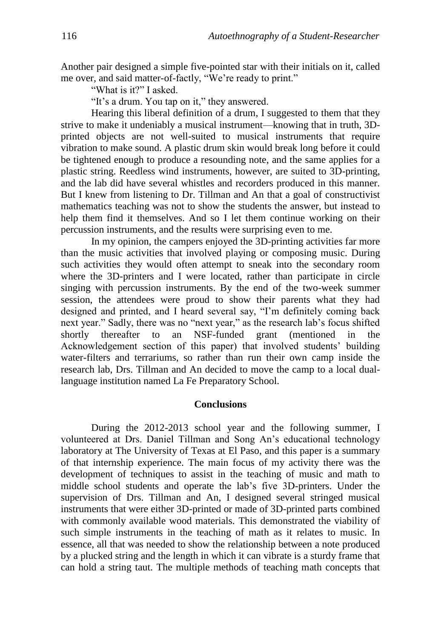Another pair designed a simple five-pointed star with their initials on it, called me over, and said matter-of-factly, "We're ready to print."

"What is it?" I asked.

"It's a drum. You tap on it," they answered.

Hearing this liberal definition of a drum, I suggested to them that they strive to make it undeniably a musical instrument—knowing that in truth, 3Dprinted objects are not well-suited to musical instruments that require vibration to make sound. A plastic drum skin would break long before it could be tightened enough to produce a resounding note, and the same applies for a plastic string. Reedless wind instruments, however, are suited to 3D-printing, and the lab did have several whistles and recorders produced in this manner. But I knew from listening to Dr. Tillman and An that a goal of constructivist mathematics teaching was not to show the students the answer, but instead to help them find it themselves. And so I let them continue working on their percussion instruments, and the results were surprising even to me.

In my opinion, the campers enjoyed the 3D-printing activities far more than the music activities that involved playing or composing music. During such activities they would often attempt to sneak into the secondary room where the 3D-printers and I were located, rather than participate in circle singing with percussion instruments. By the end of the two-week summer session, the attendees were proud to show their parents what they had designed and printed, and I heard several say, "I'm definitely coming back next year." Sadly, there was no "next year," as the research lab's focus shifted shortly thereafter to an NSF-funded grant (mentioned in the Acknowledgement section of this paper) that involved students' building water-filters and terrariums, so rather than run their own camp inside the research lab, Drs. Tillman and An decided to move the camp to a local duallanguage institution named La Fe Preparatory School.

#### **Conclusions**

During the 2012-2013 school year and the following summer, I volunteered at Drs. Daniel Tillman and Song An's educational technology laboratory at The University of Texas at El Paso, and this paper is a summary of that internship experience. The main focus of my activity there was the development of techniques to assist in the teaching of music and math to middle school students and operate the lab's five 3D-printers. Under the supervision of Drs. Tillman and An, I designed several stringed musical instruments that were either 3D-printed or made of 3D-printed parts combined with commonly available wood materials. This demonstrated the viability of such simple instruments in the teaching of math as it relates to music. In essence, all that was needed to show the relationship between a note produced by a plucked string and the length in which it can vibrate is a sturdy frame that can hold a string taut. The multiple methods of teaching math concepts that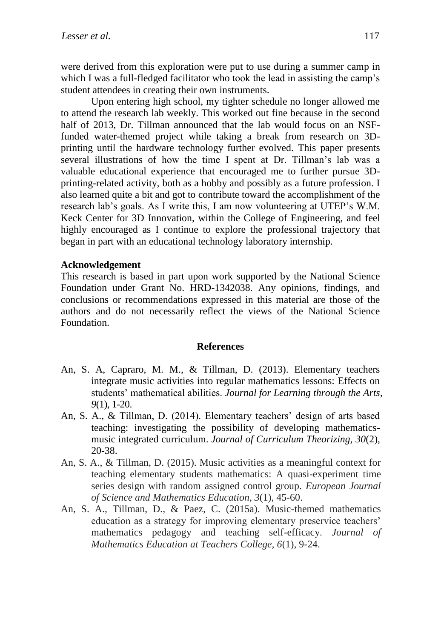were derived from this exploration were put to use during a summer camp in which I was a full-fledged facilitator who took the lead in assisting the camp's student attendees in creating their own instruments.

Upon entering high school, my tighter schedule no longer allowed me to attend the research lab weekly. This worked out fine because in the second half of 2013, Dr. Tillman announced that the lab would focus on an NSFfunded water-themed project while taking a break from research on 3Dprinting until the hardware technology further evolved. This paper presents several illustrations of how the time I spent at Dr. Tillman's lab was a valuable educational experience that encouraged me to further pursue 3Dprinting-related activity, both as a hobby and possibly as a future profession. I also learned quite a bit and got to contribute toward the accomplishment of the research lab's goals. As I write this, I am now volunteering at UTEP's W.M. Keck Center for 3D Innovation, within the College of Engineering, and feel highly encouraged as I continue to explore the professional trajectory that began in part with an educational technology laboratory internship.

### **Acknowledgement**

This research is based in part upon work supported by the National Science Foundation under Grant No. HRD-1342038. Any opinions, findings, and conclusions or recommendations expressed in this material are those of the authors and do not necessarily reflect the views of the National Science Foundation.

#### **References**

- An, S. A, Capraro, M. M., & Tillman, D. (2013). Elementary teachers integrate music activities into regular mathematics lessons: Effects on students' mathematical abilities. *Journal for Learning through the Arts*, *9*(1), 1-20.
- An, S. A., & Tillman, D. (2014). Elementary teachers' design of arts based teaching: investigating the possibility of developing mathematicsmusic integrated curriculum. *Journal of Curriculum Theorizing, 30*(2), 20-38.
- An, S. A., & Tillman, D. (2015). Music activities as a meaningful context for teaching elementary students mathematics: A quasi-experiment time series design with random assigned control group. *European Journal of Science and Mathematics Education*, *3*(1), 45-60.
- An, S. A., Tillman, D., & Paez, C. (2015a). Music-themed mathematics education as a strategy for improving elementary preservice teachers' mathematics pedagogy and teaching self-efficacy. *Journal of Mathematics Education at Teachers College, 6*(1), 9-24.